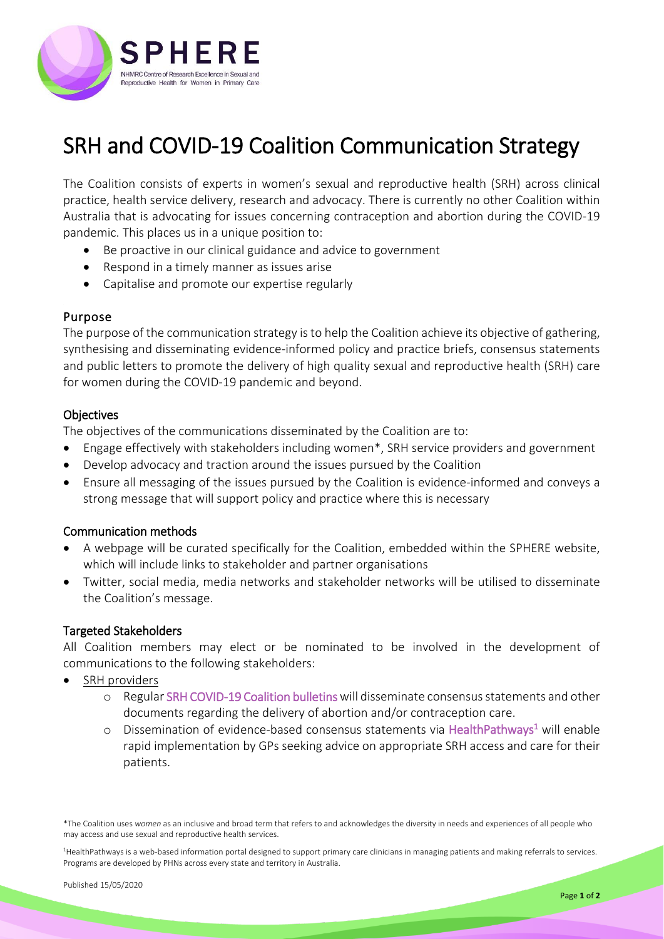

# SRH and COVID-19 Coalition Communication Strategy

The Coalition consists of experts in women's sexual and reproductive health (SRH) across clinical practice, health service delivery, research and advocacy. There is currently no other Coalition within Australia that is advocating for issues concerning contraception and abortion during the COVID-19 pandemic. This places us in a unique position to:

- Be proactive in our clinical guidance and advice to government
- Respond in a timely manner as issues arise
- Capitalise and promote our expertise regularly

## Purpose

The purpose of the communication strategy is to help the Coalition achieve its objective of gathering, synthesising and disseminating evidence-informed policy and practice briefs, consensus statements and public letters to promote the delivery of high quality sexual and reproductive health (SRH) care for women during the COVID-19 pandemic and beyond.

## **Objectives**

The objectives of the communications disseminated by the Coalition are to:

- Engage effectively with stakeholders including women\*, SRH service providers and government
- Develop advocacy and traction around the issues pursued by the Coalition
- Ensure all messaging of the issues pursued by the Coalition is evidence-informed and conveys a strong message that will support policy and practice where this is necessary

## Communication methods

- A webpage will be curated specifically for the Coalition, embedded within the SPHERE website, which will include links to stakeholder and partner organisations
- Twitter, social media, media networks and stakeholder networks will be utilised to disseminate the Coalition's message.

## Targeted Stakeholders

All Coalition members may elect or be nominated to be involved in the development of communications to the following stakeholders:

- SRH providers
	- o Regular SRH COVID-19 Coalition bulletinswill disseminate consensus statements and other documents regarding the delivery of abortion and/or contraception care.
	- o Dissemination of evidence-based consensus statements via HealthPathways<sup>1</sup> will enable rapid implementation by GPs seeking advice on appropriate SRH access and care for their patients.

<sup>1</sup>HealthPathways is a web-based information portal designed to support primary care clinicians in managing patients and making referrals to services. Programs are developed by PHNs across every state and territory in Australia.

<sup>\*</sup>The Coalition uses *women* as an inclusive and broad term that refers to and acknowledges the diversity in needs and experiences of all people who may access and use sexual and reproductive health services.